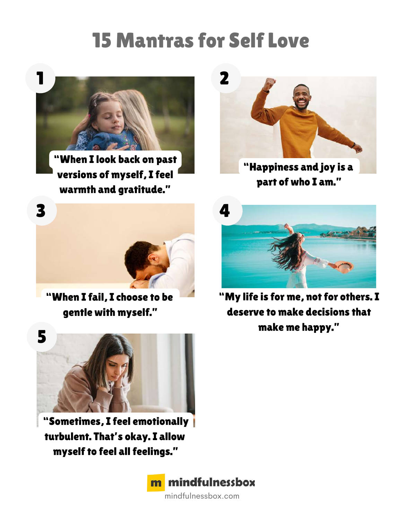## 15 Mantras for Self Love



"When I look back on past versions of myself, I feel warmth and gratitude."



"Happiness and joy is a part of who I am."



"When I fail, I choose to be gentle with myself."



"My life is for me, not for others. I deserve to make decisions that make me happy."



"Sometimes, I feel emotionally turbulent. That's okay. I allow myself to feel all feelings."

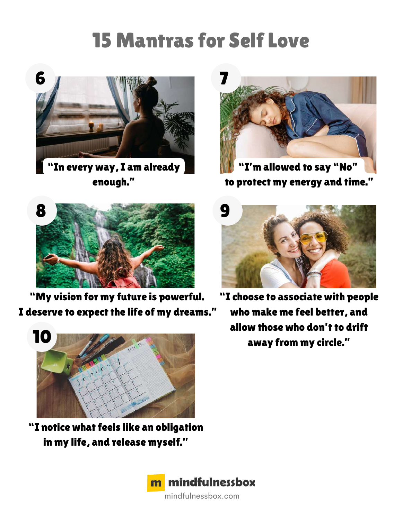## 15 Mantras for Self Love



"In every way, I am already enough."



"I'm allowed to say "No" to protect my energy and time."



"My vision for my future is powerful. I deserve to expect the life of my dreams."



"I notice what feels like an obligation in my life, and release myself."



mindfulnessbox.com



"I choose to associate with people who make me feel better, and allow those who don't to drift away from my circle."